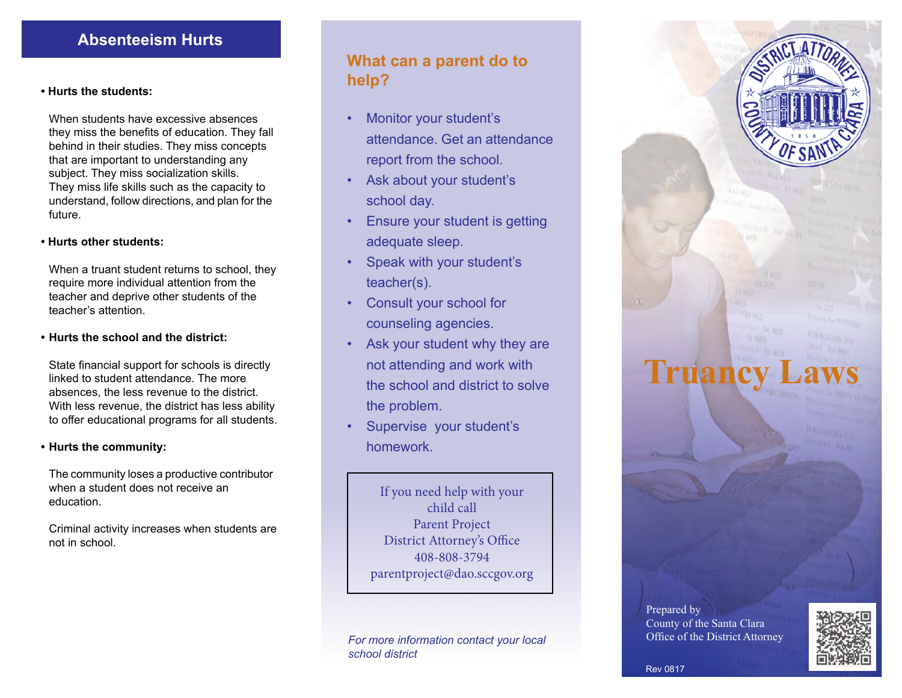## **Absenteeism Hurts**

### **• Hurts the students:**

When students have excessive absences they miss the benefits of education. They fall behind in their studies. They miss concepts that are important to understanding any subject. They miss socialization skills. They miss life skills such as the capacity to understand, follow directions, and plan for the future.

### **• Hurts other students:**

 When a truant student returns to school, they require more individual attention from the teacher and deprive other students of the teacher's attention.

### **• Hurts the school and the district:**

 State financial support for schools is directly linked to student attendance. The more absences, the less revenue to the district. With less revenue, the district has less ability to offer educational programs for all students.

#### **• Hurts the community:**

 The community loses a productive contributor when a student does not receive an education.

 Criminal activity increases when students are not in school.

# **What can a parent do to help?**

- Monitor your student's attendance. Get an attendance report from the school.
- Ask about your student's school day.
- Ensure your student is getting adequate sleep.
- Speak with your student's teacher(s).
- Consult your school for counseling agencies.
- Ask your student why they are not attending and work with the school and district to solve the problem.
- Supervise your student's homework.

If you need help with your child call Parent Project District Attorney's Office 408-808-3794 parentproject@dao.sccgov.org

*For more information contact your local school district*



Prepared by County of the Santa Clara Office of the District Attorney



Rev 0817